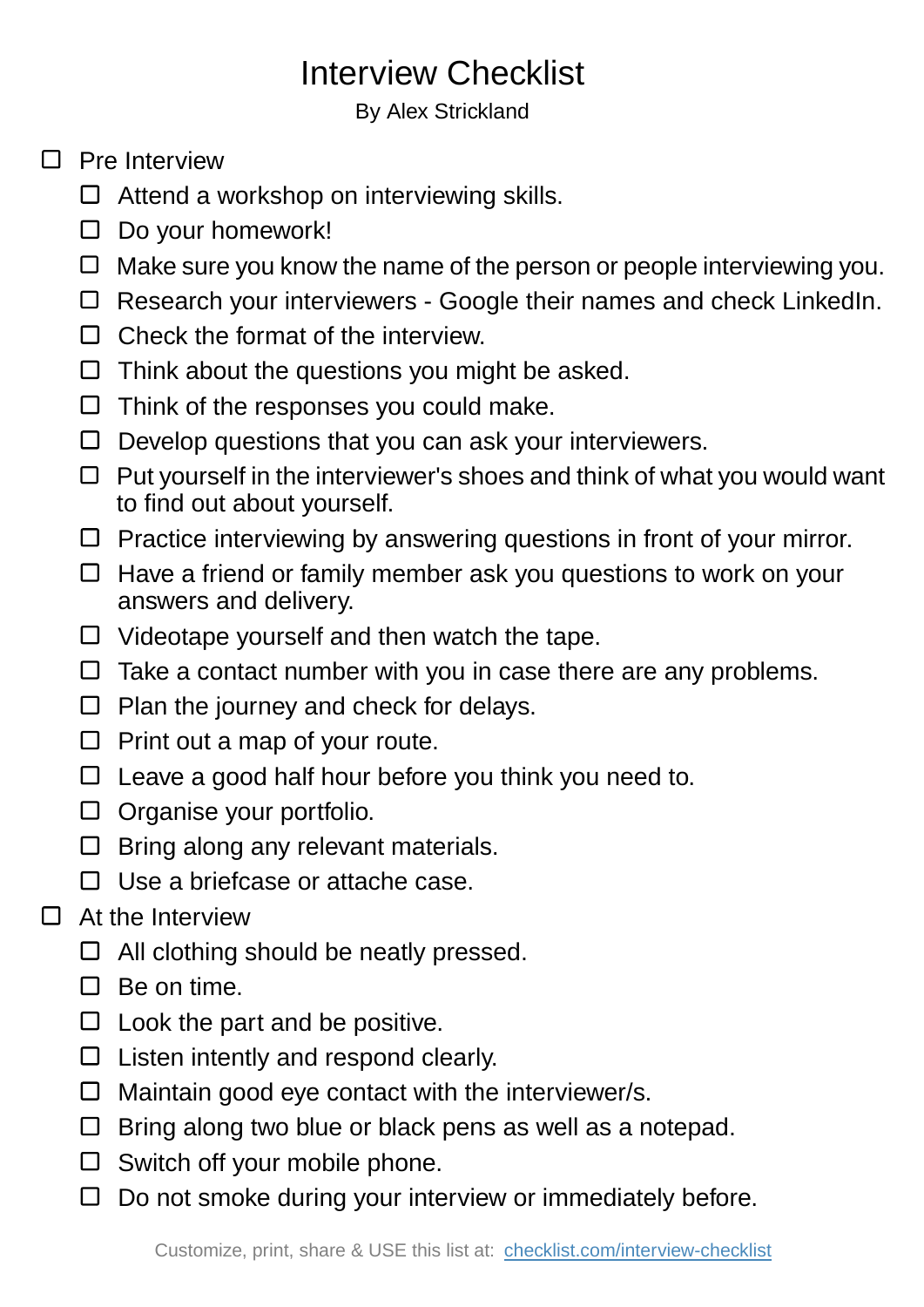## Interview Checklist

By Alex Strickland

## $\Box$  Pre Interview

- Attend a workshop on interviewing skills.
- $\square$  Do your homework!
- $\Box$  Make sure you know the name of the person or people interviewing you.
- □ Research your interviewers Google their names and check LinkedIn.
- $\Box$  Check the format of the interview.
- $\Box$  Think about the questions you might be asked.
- $\Box$  Think of the responses you could make.
- $\Box$  Develop questions that you can ask your interviewers.
- $\Box$  Put yourself in the interviewer's shoes and think of what you would want to find out about yourself.
- $\Box$  Practice interviewing by answering questions in front of your mirror.
- $\Box$  Have a friend or family member ask you questions to work on your answers and delivery.
- Videotape yourself and then watch the tape.
- $\Box$  Take a contact number with you in case there are any problems.
- $\Box$  Plan the journey and check for delays.
- $\Box$  Print out a map of your route.
- $\Box$  Leave a good half hour before you think you need to.
- $\Box$  Organise your portfolio.
- $\Box$  Bring along any relevant materials.
- $\Box$  Use a briefcase or attache case.

## $\Box$ At the Interview

- $\Box$  All clothing should be neatly pressed.
- $\Box$  Be on time.
- $\square$  Look the part and be positive.
- $\Box$  Listen intently and respond clearly.
- $\Box$  Maintain good eye contact with the interviewer/s.
- $\Box$  Bring along two blue or black pens as well as a notepad.
- $\Box$  Switch off your mobile phone.
- $\Box$  Do not smoke during your interview or immediately before.